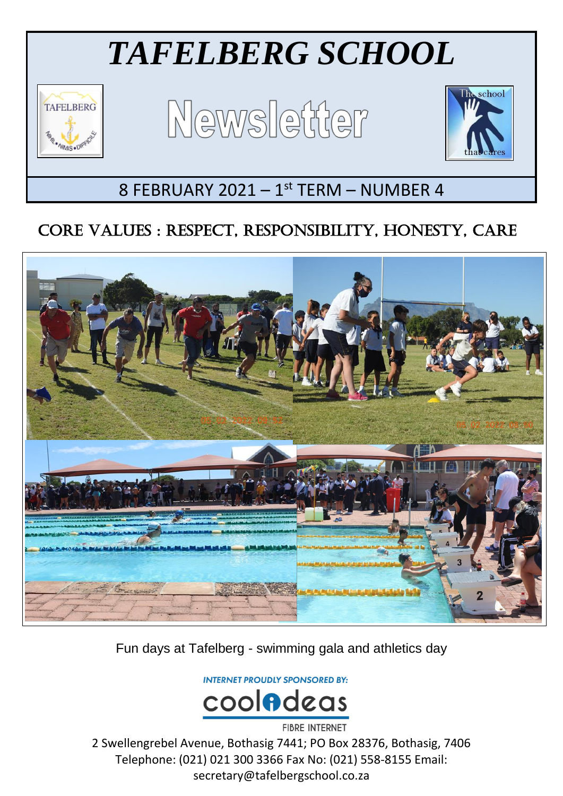# *TAFELBERG SCHOOL*



Ξ

Newsletter



## 8 FEBRUARY 2021 - 1st TERM - NUMBER 4

### CORE VALUES : RESPECT, RESPONSIBILITY, HONESTY, CARE



Fun days at Tafelberg - swimming gala and athletics day

**INTERNET PROUDLY SPONSORED BY:** 



2 Swellengrebel Avenue, Bothasig 7441; PO Box 28376, Bothasig, 7406 Telephone: (021) 021 300 3366 Fax No: (021) 558-8155 Email: secretary@tafelbergschool.co.za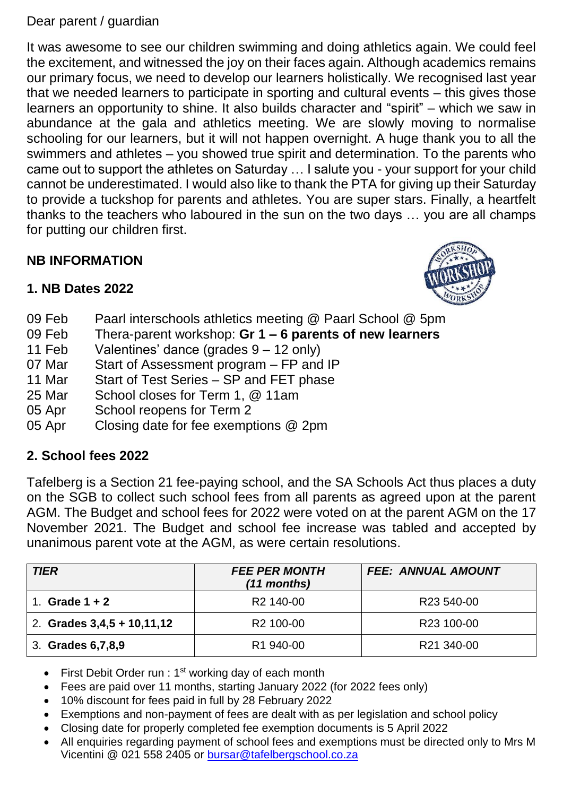#### Dear parent / guardian

It was awesome to see our children swimming and doing athletics again. We could feel the excitement, and witnessed the joy on their faces again. Although academics remains our primary focus, we need to develop our learners holistically. We recognised last year that we needed learners to participate in sporting and cultural events – this gives those learners an opportunity to shine. It also builds character and "spirit" – which we saw in abundance at the gala and athletics meeting. We are slowly moving to normalise schooling for our learners, but it will not happen overnight. A huge thank you to all the swimmers and athletes – you showed true spirit and determination. To the parents who came out to support the athletes on Saturday … I salute you - your support for your child cannot be underestimated. I would also like to thank the PTA for giving up their Saturday to provide a tuckshop for parents and athletes. You are super stars. Finally, a heartfelt thanks to the teachers who laboured in the sun on the two days … you are all champs for putting our children first.

#### **NB INFORMATION**



#### **1. NB Dates 2022**

- 09 Feb Paarl interschools athletics meeting @ Paarl School @ 5pm
- 09 Feb Thera-parent workshop: **Gr 1 – 6 parents of new learners**
- 11 Feb Valentines' dance (grades 9 12 only)
- 07 Mar Start of Assessment program FP and IP
- 11 Mar Start of Test Series SP and FET phase
- 25 Mar School closes for Term 1, @ 11am
- 05 Apr School reopens for Term 2
- 05 Apr Closing date for fee exemptions @ 2pm

#### **2. School fees 2022**

Tafelberg is a Section 21 fee-paying school, and the SA Schools Act thus places a duty on the SGB to collect such school fees from all parents as agreed upon at the parent AGM. The Budget and school fees for 2022 were voted on at the parent AGM on the 17 November 2021. The Budget and school fee increase was tabled and accepted by unanimous parent vote at the AGM, as were certain resolutions.

| <b>TIER</b>                  | <b>FEE PER MONTH</b><br>$(11$ months) | <b>FEE: ANNUAL AMOUNT</b> |
|------------------------------|---------------------------------------|---------------------------|
| Grade $1 + 2$                | R <sub>2</sub> 140-00                 | R <sub>23</sub> 540-00    |
| 2. Grades $3,4,5 + 10,11,12$ | R <sub>2</sub> 100-00                 | R <sub>23</sub> 100-00    |
| 3. Grades 6, 7, 8, 9         | R <sub>1</sub> 940-00                 | R21 340-00                |

- First Debit Order run : 1<sup>st</sup> working day of each month
- Fees are paid over 11 months, starting January 2022 (for 2022 fees only)
- 10% discount for fees paid in full by 28 February 2022
- Exemptions and non-payment of fees are dealt with as per legislation and school policy
- Closing date for properly completed fee exemption documents is 5 April 2022
- All enquiries regarding payment of school fees and exemptions must be directed only to Mrs M Vicentini @ 021 558 2405 or [bursar@tafelbergschool.co.za](mailto:bursar@tafelbergschool.co.za)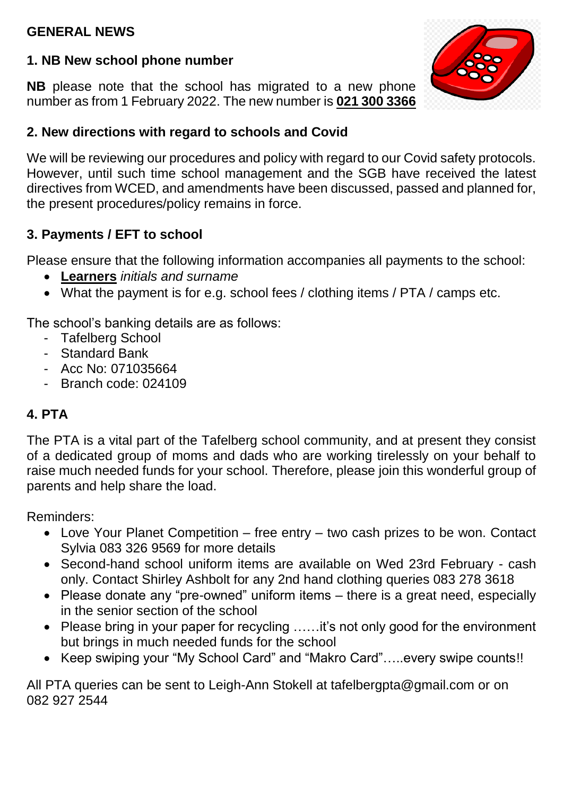#### **GENERAL NEWS**

#### **1. NB New school phone number**

**NB** please note that the school has migrated to a new phone number as from 1 February 2022. The new number is **021 300 3366**

#### **2. New directions with regard to schools and Covid**

We will be reviewing our procedures and policy with regard to our Covid safety protocols. However, until such time school management and the SGB have received the latest directives from WCED, and amendments have been discussed, passed and planned for, the present procedures/policy remains in force.

#### **3. Payments / EFT to school**

Please ensure that the following information accompanies all payments to the school:

- **Learners** *initials and surname*
- What the payment is for e.g. school fees / clothing items / PTA / camps etc.

The school's banking details are as follows:

- Tafelberg School
- Standard Bank
- Acc No: 071035664
- Branch code: 024109

#### **4. PTA**

The PTA is a vital part of the Tafelberg school community, and at present they consist of a dedicated group of moms and dads who are working tirelessly on your behalf to raise much needed funds for your school. Therefore, please join this wonderful group of parents and help share the load.

Reminders:

- Love Your Planet Competition free entry two cash prizes to be won. Contact Sylvia 083 326 9569 for more details
- Second-hand school uniform items are available on Wed 23rd February cash only. Contact Shirley Ashbolt for any 2nd hand clothing queries 083 278 3618
- Please donate any "pre-owned" uniform items there is a great need, especially in the senior section of the school
- Please bring in your paper for recycling .....it's not only good for the environment but brings in much needed funds for the school
- Keep swiping your "My School Card" and "Makro Card"…..every swipe counts!!

All PTA queries can be sent to Leigh-Ann Stokell at tafelbergpta@gmail.com or on 082 927 2544

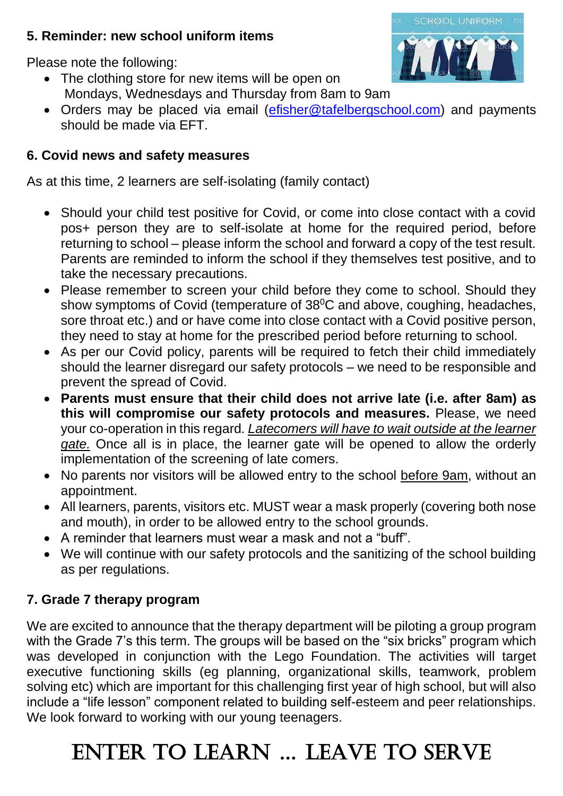#### **5. Reminder: new school uniform items**



Please note the following:

- The clothing store for new items will be open on Mondays, Wednesdays and Thursday from 8am to 9am
- Orders may be placed via email [\(efisher@tafelbergschool.com\)](mailto:efisher@tafelbergschool.com) and payments should be made via EFT.

#### **6. Covid news and safety measures**

As at this time, 2 learners are self-isolating (family contact)

- Should your child test positive for Covid, or come into close contact with a covid pos+ person they are to self-isolate at home for the required period, before returning to school – please inform the school and forward a copy of the test result. Parents are reminded to inform the school if they themselves test positive, and to take the necessary precautions.
- Please remember to screen your child before they come to school. Should they show symptoms of Covid (temperature of  $38^{\circ}$ C and above, coughing, headaches, sore throat etc.) and or have come into close contact with a Covid positive person, they need to stay at home for the prescribed period before returning to school.
- As per our Covid policy, parents will be required to fetch their child immediately should the learner disregard our safety protocols – we need to be responsible and prevent the spread of Covid.
- **Parents must ensure that their child does not arrive late (i.e. after 8am) as this will compromise our safety protocols and measures.** Please, we need your co-operation in this regard. *Latecomers will have to wait outside at the learner gate.* Once all is in place, the learner gate will be opened to allow the orderly implementation of the screening of late comers.
- No parents nor visitors will be allowed entry to the school before 9am, without an appointment.
- All learners, parents, visitors etc. MUST wear a mask properly (covering both nose and mouth), in order to be allowed entry to the school grounds.
- A reminder that learners must wear a mask and not a "buff".
- We will continue with our safety protocols and the sanitizing of the school building as per regulations.

#### **7. Grade 7 therapy program**

We are excited to announce that the therapy department will be piloting a group program with the Grade 7's this term. The groups will be based on the "six bricks" program which was developed in conjunction with the Lego Foundation. The activities will target executive functioning skills (eg planning, organizational skills, teamwork, problem solving etc) which are important for this challenging first year of high school, but will also include a "life lesson" component related to building self-esteem and peer relationships. We look forward to working with our young teenagers.

# ENTER TO LEARN … LEAVE TO SERVE